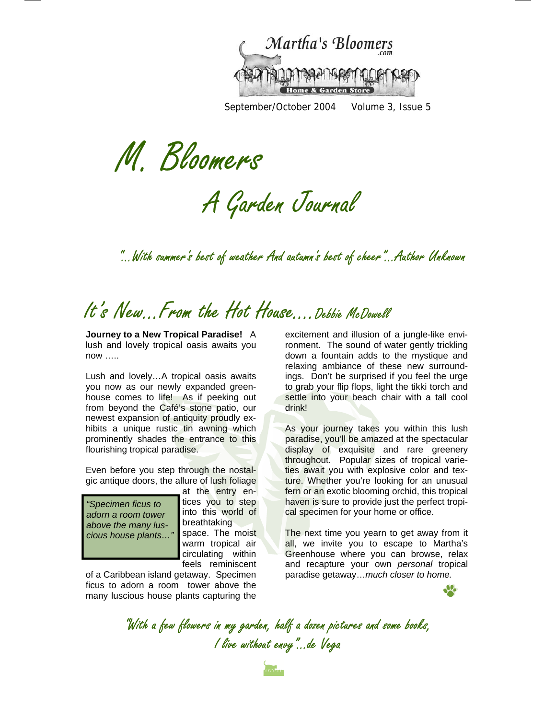

September/October 2004 Volume 3, Issue 5

M. Bloomers

A Garden Journal

"...With summer's best of weather And autumn's best of cheer"...Author Unknown

# It's New. From the Hot House.... Debbie McDowell

**Journey to a New Tropical Paradise!** A lush and lovely tropical oasis awaits you now …..

Lush and lovely…A tropical oasis awaits you now as our newly expanded greenhouse comes to life! As if peeking out from beyond the Café's stone patio, our newest expansion of antiquity proudly exhibits a unique rustic tin awning which prominently shades the entrance to this flourishing tropical paradise.

Even before you step through the nostalgic antique doors, the allure of lush foliage

*"Specimen ficus to adorn a room tower above the many luscious house plants…"* 

at the entry entices you to step into this world of breathtaking space. The moist warm tropical air circulating within feels reminiscent

of a Caribbean island getaway. Specimen ficus to adorn a room tower above the many luscious house plants capturing the

excitement and illusion of a jungle-like environment. The sound of water gently trickling down a fountain adds to the mystique and relaxing ambiance of these new surroundings. Don't be surprised if you feel the urge to grab your flip flops, light the tikki torch and settle into your beach chair with a tall cool drink!

As your journey takes you within this lush paradise, you'll be amazed at the spectacular display of exquisite and rare greenery throughout. Popular sizes of tropical varieties await you with explosive color and texture. Whether you're looking for an unusual fern or an exotic blooming orchid, this tropical haven is sure to provide just the perfect tropical specimen for your home or office.

The next time you yearn to get away from it all, we invite you to escape to Martha's Greenhouse where you can browse, relax and recapture your own *personal* tropical paradise getaway…*much closer to home.*

JL.

"With a few flowers in my garden, half a dozen pictures and some books, I live without envy"...de Vega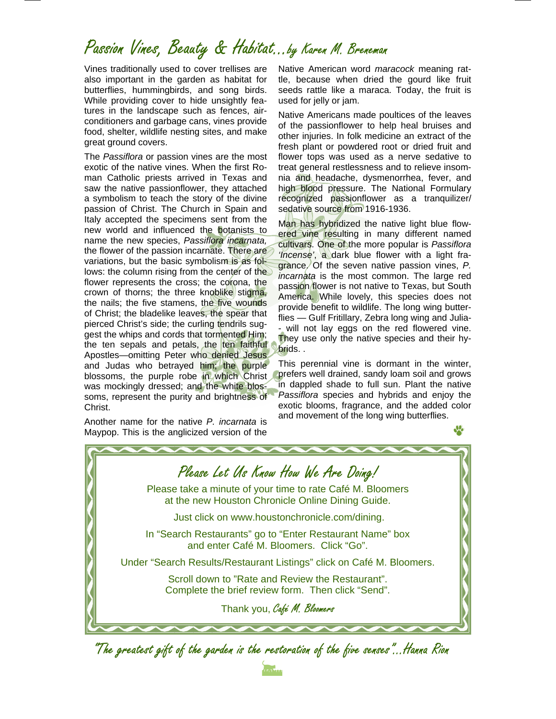## Passion Vines, Beauty & Habitat...by Karen M. Breneman

Vines traditionally used to cover trellises are also important in the garden as habitat for butterflies, hummingbirds, and song birds. While providing cover to hide unsightly features in the landscape such as fences, airconditioners and garbage cans, vines provide food, shelter, wildlife nesting sites, and make great ground covers.

The *Passiflora* or passion vines are the most exotic of the native vines. When the first Roman Catholic priests arrived in Texas and saw the native passionflower, they attached a symbolism to teach the story of the divine passion of Christ. The Church in Spain and Italy accepted the specimens sent from the new world and influenced the botanists to name the new species, *Passiflora incarnata,* the flower of the passion incarnate. There are variations, but the basic symbolism is as follows: the column rising from the center of the flower represents the cross; the corona, the crown of thorns; the three knoblike stigma, the nails; the five stamens, the five wounds of Christ; the bladelike leaves, the spear that pierced Christ's side; the curling tendrils suggest the whips and cords that tormented Him; the ten sepals and petals, the ten faithful Apostles—omitting Peter who denied Jesus and Judas who betrayed him; the purple blossoms, the purple robe in which Christ was mockingly dressed; and the white blossoms, represent the purity and brightness of Christ.

Another name for the native *P. incarnata* is Maypop. This is the anglicized version of the

Native American word *maracock* meaning rattle, because when dried the gourd like fruit seeds rattle like a maraca. Today, the fruit is used for jelly or jam.

Native Americans made poultices of the leaves of the passionflower to help heal bruises and other injuries. In folk medicine an extract of the fresh plant or powdered root or dried fruit and flower tops was used as a nerve sedative to treat general restlessness and to relieve insomnia and headache, dysmenorrhea, fever, and high blood pressure. The National Formulary recognized passionflower as a tranquilizer/ sedative source from 1916-1936.

Man has hybridized the native light blue flowered vine resulting in many different named cultivars. One of the more popular is *Passiflora 'Incense'*, a dark blue flower with a light fragrance. Of the seven native passion vines, *P. incarnata* is the most common. The large red passion flower is not native to Texas, but South America. While lovely, this species does not provide benefit to wildlife. The long wing butterflies — Gulf Fritillary, Zebra long wing and Julia- - will not lay eggs on the red flowered vine. They use only the native species and their hybrids. .

This perennial vine is dormant in the winter, prefers well drained, sandy loam soil and grows in dappled shade to full sun. Plant the native *Passiflora* species and hybrids and enjoy the exotic blooms, fragrance, and the added color and movement of the long wing butterflies.



"The greatest gift of the garden is the restoration of the five senses"...Hanna Rion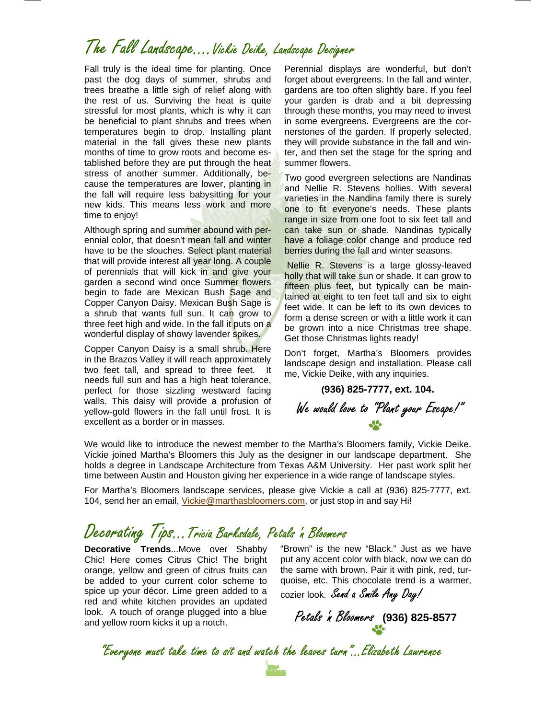## The Fall Landscape….Vickie Deike, Landscape Designer

Fall truly is the ideal time for planting. Once past the dog days of summer, shrubs and trees breathe a little sigh of relief along with the rest of us. Surviving the heat is quite stressful for most plants, which is why it can be beneficial to plant shrubs and trees when temperatures begin to drop. Installing plant material in the fall gives these new plants months of time to grow roots and become established before they are put through the heat stress of another summer. Additionally, because the temperatures are lower, planting in the fall will require less babysitting for your new kids. This means less work and more time to enjoy!

Although spring and summer abound with perennial color, that doesn't mean fall and winter have to be the slouches. Select plant material that will provide interest all year long. A couple of perennials that will kick in and give your garden a second wind once Summer flowers begin to fade are Mexican Bush Sage and Copper Canyon Daisy. Mexican Bush Sage is a shrub that wants full sun. It can grow to three feet high and wide. In the fall it puts on a wonderful display of showy lavender spikes.

Copper Canyon Daisy is a small shrub. Here in the Brazos Valley it will reach approximately two feet tall, and spread to three feet. It needs full sun and has a high heat tolerance, perfect for those sizzling westward facing walls. This daisy will provide a profusion of yellow-gold flowers in the fall until frost. It is excellent as a border or in masses.

Perennial displays are wonderful, but don't forget about evergreens. In the fall and winter, gardens are too often slightly bare. If you feel your garden is drab and a bit depressing through these months, you may need to invest in some evergreens. Evergreens are the cornerstones of the garden. If properly selected, they will provide substance in the fall and winter, and then set the stage for the spring and summer flowers.

Two good evergreen selections are Nandinas and Nellie R. Stevens hollies. With several varieties in the Nandina family there is surely one to fit everyone's needs. These plants range in size from one foot to six feet tall and can take sun or shade. Nandinas typically have a foliage color change and produce red berries during the fall and winter seasons.

 Nellie R. Stevens is a large glossy-leaved holly that will take sun or shade. It can grow to fifteen plus feet, but typically can be maintained at eight to ten feet tall and six to eight feet wide. It can be left to its own devices to form a dense screen or with a little work it can be grown into a nice Christmas tree shape. Get those Christmas lights ready!

Don't forget, Martha's Bloomers provides landscape design and installation. Please call me, Vickie Deike, with any inquiries.

**(936) 825-7777, ext. 104.** 

We would love to "Plant your Escape!"

We would like to introduce the newest member to the Martha's Bloomers family, Vickie Deike. Vickie joined Martha's Bloomers this July as the designer in our landscape department. She holds a degree in Landscape Architecture from Texas A&M University. Her past work split her time between Austin and Houston giving her experience in a wide range of landscape styles.

For Martha's Bloomers landscape services, please give Vickie a call at (936) 825-7777, ext. 104, send her an email, Vickie@marthasbloomers.com, or just stop in and say Hi!

### Decorating Tips…Tricia Barksdale, Petals 'n Bloomers

**Decorative Trends**...Move over Shabby Chic! Here comes Citrus Chic! The bright orange, yellow and green of citrus fruits can be added to your current color scheme to spice up your décor. Lime green added to a red and white kitchen provides an updated look. A touch of orange plugged into a blue and yellow room kicks it up a notch.

"Brown" is the new "Black." Just as we have put any accent color with black, now we can do the same with brown. Pair it with pink, red, turquoise, etc. This chocolate trend is a warmer,

cozier look. Send a Smile Any Day!

Petals 'n Bloomers **(936) 825-8577**

"Everyone must take time to sit and watch the leaves turn"...Elizabeth Lawrence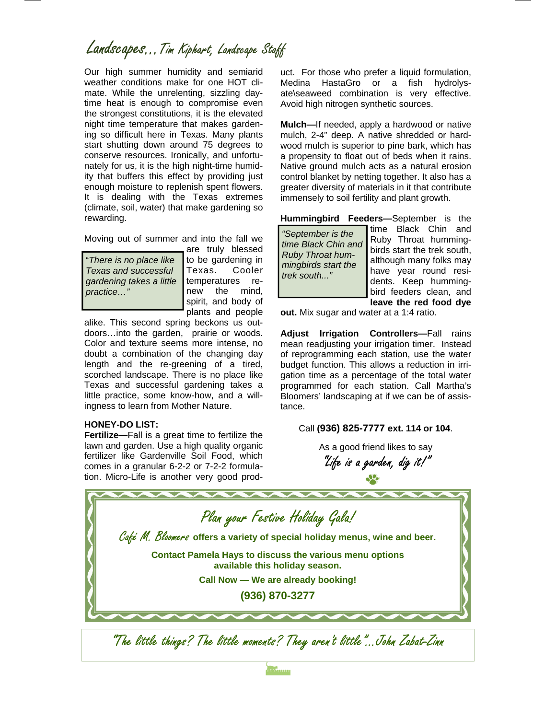### Landscapes...Tim Kiphart, Landscape Staff

Our high summer humidity and semiarid weather conditions make for one HOT climate. While the unrelenting, sizzling daytime heat is enough to compromise even the strongest constitutions, it is the elevated night time temperature that makes gardening so difficult here in Texas. Many plants start shutting down around 75 degrees to conserve resources. Ironically, and unfortunately for us, it is the high night-time humidity that buffers this effect by providing just enough moisture to replenish spent flowers. It is dealing with the Texas extremes (climate, soil, water) that make gardening so rewarding.

Moving out of summer and into the fall we

"*There is no place like Texas and successful gardening takes a little practice…"* 

are truly blessed to be gardening in Texas. Cooler temperatures renew the mind, spirit, and body of plants and people

alike. This second spring beckons us outdoors…into the garden, prairie or woods. Color and texture seems more intense, no doubt a combination of the changing day length and the re-greening of a tired, scorched landscape. There is no place like Texas and successful gardening takes a little practice, some know-how, and a willingness to learn from Mother Nature.

#### **HONEY-DO LIST:**

**Fertilize—**Fall is a great time to fertilize the lawn and garden. Use a high quality organic fertilizer like Gardenville Soil Food, which comes in a granular 6-2-2 or 7-2-2 formulauct. For those who prefer a liquid formulation, Medina HastaGro or a fish hydrolysate\seaweed combination is very effective. Avoid high nitrogen synthetic sources.

**Mulch—**If needed, apply a hardwood or native mulch, 2-4" deep. A native shredded or hardwood mulch is superior to pine bark, which has a propensity to float out of beds when it rains. Native ground mulch acts as a natural erosion control blanket by netting together. It also has a greater diversity of materials in it that contribute immensely to soil fertility and plant growth.

**Hummingbird Feeders—**September is the

time Black Chin and Ruby Throat hummingbirds start the trek south, although many folks may have year round residents. Keep hummingbird feeders clean, and **leave the red food dye** 

**out.** Mix sugar and water at a 1:4 ratio.

**Adjust Irrigation Controllers—**Fall rains mean readjusting your irrigation timer. Instead of reprogramming each station, use the water budget function. This allows a reduction in irrigation time as a percentage of the total water programmed for each station. Call Martha's Bloomers' landscaping at if we can be of assistance.

#### Call **(936) 825-7777 ext. 114 or 104**.

As a good friend likes to say "Life is a garden, dig it!"

tion. Micro-Life is another very good prod-"The little things? The little moments? They aren't little"...John Zabat-Zinn Plan your Festive Holiday Gala! Café M. Bloomers **offers a variety of special holiday menus, wine and beer. Contact Pamela Hays to discuss the various menu options available this holiday season. Call Now — We are already booking! (936) 870-3277** 

maning and starting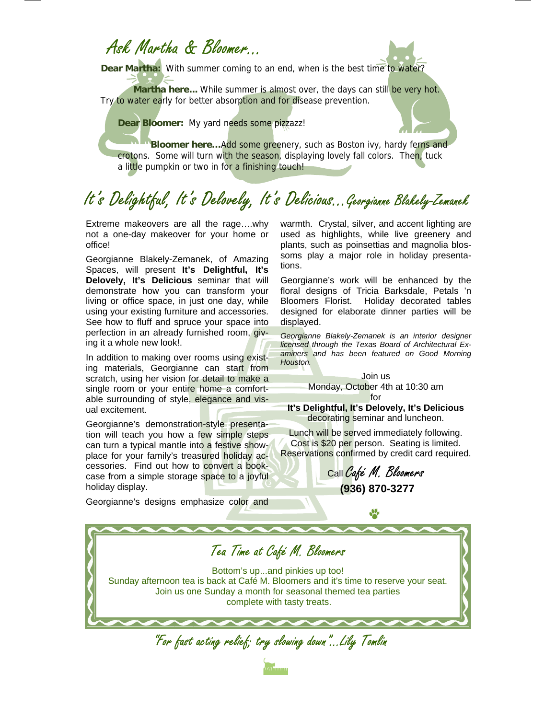### Ask Martha & Bloomer…

**Dear Martha:** With summer coming to an end, when is the best time to water?

**Martha here...** While summer is almost over, the days can still be very hot. Try to water early for better absorption and for disease prevention.

**Dear Bloomer:** My yard needs some pizzazz!

 **Bloomer here…**Add some greenery, such as Boston ivy, hardy ferns and crotons. Some will turn with the season, displaying lovely fall colors. Then, tuck a little pumpkin or two in for a finishing touch!

# It's Delightful, It's Delovely, It's Delicious...Georgianne Blakely-Zemanek

Extreme makeovers are all the rage….why not a one-day makeover for your home or office!

Georgianne Blakely-Zemanek, of Amazing Spaces, will present **It's Delightful, It's Delovely, It's Delicious** seminar that will demonstrate how you can transform your living or office space, in just one day, while using your existing furniture and accessories. See how to fluff and spruce your space into perfection in an already furnished room, giving it a whole new look!.

In addition to making over rooms using existing materials, Georgianne can start from scratch, using her vision for detail to make a single room or your entire home a comfortable surrounding of style, elegance and visual excitement.

Georgianne's demonstration-style presentation will teach you how a few simple steps can turn a typical mantle into a festive showplace for your family's treasured holiday accessories. Find out how to convert a bookcase from a simple storage space to a joyful holiday display.

Georgianne's designs emphasize color and

warmth. Crystal, silver, and accent lighting are used as highlights, while live greenery and plants, such as poinsettias and magnolia blossoms play a major role in holiday presentations.

Georgianne's work will be enhanced by the floral designs of Tricia Barksdale, Petals 'n Bloomers Florist. Holiday decorated tables designed for elaborate dinner parties will be displayed.

*Georgianne Blakely-Zemanek is an interior designer licensed through the Texas Board of Architectural Examiners and has been featured on Good Morning Houston.* 

> Join us Monday, October 4th at 10:30 am

for **It's Delightful, It's Delovely, It's Delicious**  decorating seminar and luncheon.

Lunch will be served immediately following. Cost is \$20 per person. Seating is limited. Reservations confirmed by credit card required.

Call Café M. Bloomers  **(936) 870-3277**